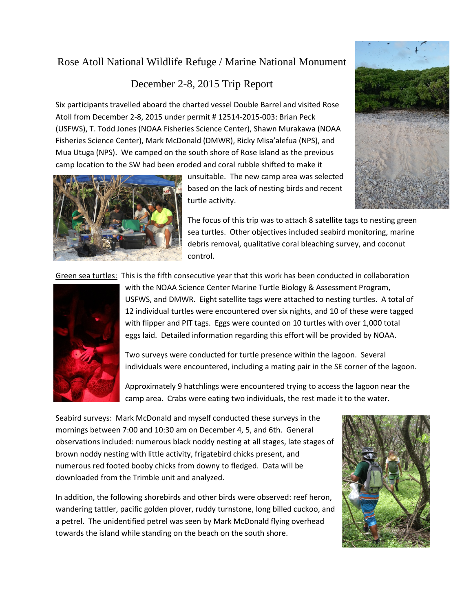## Rose Atoll National Wildlife Refuge / Marine National Monument

## December 2-8, 2015 Trip Report

Six participants travelled aboard the charted vessel Double Barrel and visited Rose Atoll from December 2-8, 2015 under permit # 12514-2015-003: Brian Peck (USFWS), T. Todd Jones (NOAA Fisheries Science Center), Shawn Murakawa (NOAA Fisheries Science Center), Mark McDonald (DMWR), Ricky Misa'alefua (NPS), and Mua Utuga (NPS). We camped on the south shore of Rose Island as the previous camp location to the SW had been eroded and coral rubble shifted to make it



unsuitable. The new camp area was selected based on the lack of nesting birds and recent turtle activity.



The focus of this trip was to attach 8 satellite tags to nesting green sea turtles. Other objectives included seabird monitoring, marine debris removal, qualitative coral bleaching survey, and coconut control.

Green sea turtles: This is the fifth consecutive year that this work has been conducted in collaboration



with the NOAA Science Center Marine Turtle Biology & Assessment Program, USFWS, and DMWR. Eight satellite tags were attached to nesting turtles. A total of 12 individual turtles were encountered over six nights, and 10 of these were tagged with flipper and PIT tags. Eggs were counted on 10 turtles with over 1,000 total eggs laid. Detailed information regarding this effort will be provided by NOAA.

Two surveys were conducted for turtle presence within the lagoon. Several individuals were encountered, including a mating pair in the SE corner of the lagoon.

Approximately 9 hatchlings were encountered trying to access the lagoon near the camp area. Crabs were eating two individuals, the rest made it to the water.

Seabird surveys: Mark McDonald and myself conducted these surveys in the mornings between 7:00 and 10:30 am on December 4, 5, and 6th. General observations included: numerous black noddy nesting at all stages, late stages of brown noddy nesting with little activity, frigatebird chicks present, and numerous red footed booby chicks from downy to fledged. Data will be downloaded from the Trimble unit and analyzed.

In addition, the following shorebirds and other birds were observed: reef heron, wandering tattler, pacific golden plover, ruddy turnstone, long billed cuckoo, and a petrel. The unidentified petrel was seen by Mark McDonald flying overhead towards the island while standing on the beach on the south shore.

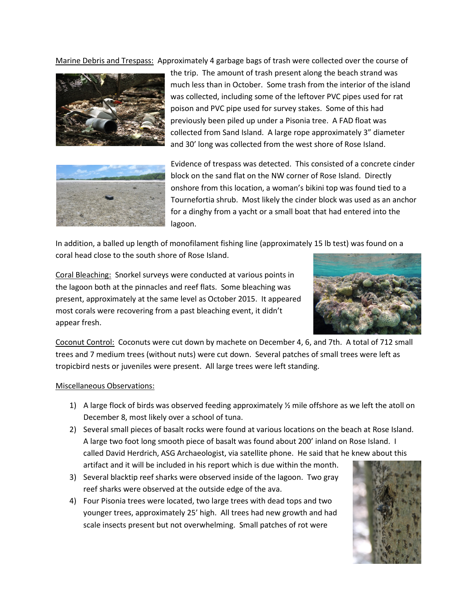Marine Debris and Trespass: Approximately 4 garbage bags of trash were collected over the course of



the trip. The amount of trash present along the beach strand was much less than in October. Some trash from the interior of the island was collected, including some of the leftover PVC pipes used for rat poison and PVC pipe used for survey stakes. Some of this had previously been piled up under a Pisonia tree. A FAD float was collected from Sand Island. A large rope approximately 3" diameter and 30' long was collected from the west shore of Rose Island.



Evidence of trespass was detected. This consisted of a concrete cinder block on the sand flat on the NW corner of Rose Island. Directly onshore from this location, a woman's bikini top was found tied to a Tournefortia shrub. Most likely the cinder block was used as an anchor for a dinghy from a yacht or a small boat that had entered into the lagoon.

In addition, a balled up length of monofilament fishing line (approximately 15 lb test) was found on a coral head close to the south shore of Rose Island.

Coral Bleaching: Snorkel surveys were conducted at various points in the lagoon both at the pinnacles and reef flats. Some bleaching was present, approximately at the same level as October 2015. It appeared most corals were recovering from a past bleaching event, it didn't appear fresh.



Coconut Control: Coconuts were cut down by machete on December 4, 6, and 7th. A total of 712 small trees and 7 medium trees (without nuts) were cut down. Several patches of small trees were left as tropicbird nests or juveniles were present. All large trees were left standing.

## Miscellaneous Observations:

- 1) A large flock of birds was observed feeding approximately  $\frac{1}{2}$  mile offshore as we left the atoll on December 8, most likely over a school of tuna.
- 2) Several small pieces of basalt rocks were found at various locations on the beach at Rose Island. A large two foot long smooth piece of basalt was found about 200' inland on Rose Island. I called David Herdrich, ASG Archaeologist, via satellite phone. He said that he knew about this artifact and it will be included in his report which is due within the month.
- 3) Several blacktip reef sharks were observed inside of the lagoon. Two gray reef sharks were observed at the outside edge of the ava.
- 4) Four Pisonia trees were located, two large trees with dead tops and two younger trees, approximately 25' high. All trees had new growth and had scale insects present but not overwhelming. Small patches of rot were